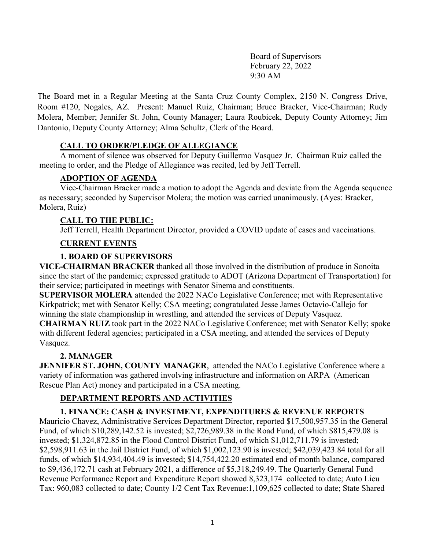Board of Supervisors February 22, 2022 9:30 AM

The Board met in a Regular Meeting at the Santa Cruz County Complex, 2150 N. Congress Drive, Room #120, Nogales, AZ. Present: Manuel Ruiz, Chairman; Bruce Bracker, Vice-Chairman; Rudy Molera, Member; Jennifer St. John, County Manager; Laura Roubicek, Deputy County Attorney; Jim Dantonio, Deputy County Attorney; Alma Schultz, Clerk of the Board.

## **CALL TO ORDER/PLEDGE OF ALLEGIANCE**

 A moment of silence was observed for Deputy Guillermo Vasquez Jr. Chairman Ruiz called the meeting to order, and the Pledge of Allegiance was recited, led by Jeff Terrell.

# **ADOPTION OF AGENDA**

 Vice-Chairman Bracker made a motion to adopt the Agenda and deviate from the Agenda sequence as necessary; seconded by Supervisor Molera; the motion was carried unanimously. (Ayes: Bracker, Molera, Ruiz)

## **CALL TO THE PUBLIC:**

Jeff Terrell, Health Department Director, provided a COVID update of cases and vaccinations.

## **CURRENT EVENTS**

## **1. BOARD OF SUPERVISORS**

**VICE-CHAIRMAN BRACKER** thanked all those involved in the distribution of produce in Sonoita since the start of the pandemic; expressed gratitude to ADOT (Arizona Department of Transportation) for their service; participated in meetings with Senator Sinema and constituents.

**SUPERVISOR MOLERA** attended the 2022 NACo Legislative Conference; met with Representative Kirkpatrick; met with Senator Kelly; CSA meeting; congratulated Jesse James Octavio-Callejo for winning the state championship in wrestling, and attended the services of Deputy Vasquez.

**CHAIRMAN RUIZ** took part in the 2022 NACo Legislative Conference; met with Senator Kelly; spoke with different federal agencies; participated in a CSA meeting, and attended the services of Deputy Vasquez.

## **2. MANAGER**

**JENNIFER ST. JOHN, COUNTY MANAGER**, attended the NACo Legislative Conference where a variety of information was gathered involving infrastructure and information on ARPA (American Rescue Plan Act) money and participated in a CSA meeting.

# **DEPARTMENT REPORTS AND ACTIVITIES**

# **1. FINANCE: CASH & INVESTMENT, EXPENDITURES & REVENUE REPORTS**

Mauricio Chavez, Administrative Services Department Director, reported \$17,500,957.35 in the General Fund, of which \$10,289,142.52 is invested; \$2,726,989.38 in the Road Fund, of which \$815,479.08 is invested; \$1,324,872.85 in the Flood Control District Fund, of which \$1,012,711.79 is invested; \$2,598,911.63 in the Jail District Fund, of which \$1,002,123.90 is invested; \$42,039,423.84 total for all funds, of which \$14,934,404.49 is invested; \$14,754,422.20 estimated end of month balance, compared to \$9,436,172.71 cash at February 2021, a difference of \$5,318,249.49. The Quarterly General Fund Revenue Performance Report and Expenditure Report showed 8,323,174 collected to date; Auto Lieu Tax: 960,083 collected to date; County 1/2 Cent Tax Revenue:1,109,625 collected to date; State Shared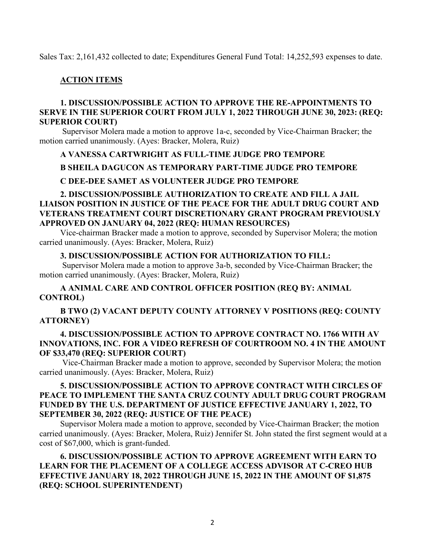Sales Tax: 2,161,432 collected to date; Expenditures General Fund Total: 14,252,593 expenses to date.

# **ACTION ITEMS**

#### **1. DISCUSSION/POSSIBLE ACTION TO APPROVE THE RE-APPOINTMENTS TO SERVE IN THE SUPERIOR COURT FROM JULY 1, 2022 THROUGH JUNE 30, 2023: (REQ: SUPERIOR COURT)**

Supervisor Molera made a motion to approve 1a-c, seconded by Vice-Chairman Bracker; the motion carried unanimously. (Ayes: Bracker, Molera, Ruiz)

## **A VANESSA CARTWRIGHT AS FULL-TIME JUDGE PRO TEMPORE**

## **B SHEILA DAGUCON AS TEMPORARY PART-TIME JUDGE PRO TEMPORE**

## **C DEE-DEE SAMET AS VOLUNTEER JUDGE PRO TEMPORE**

## **2. DISCUSSION/POSSIBLE AUTHORIZATION TO CREATE AND FILL A JAIL LIAISON POSITION IN JUSTICE OF THE PEACE FOR THE ADULT DRUG COURT AND VETERANS TREATMENT COURT DISCRETIONARY GRANT PROGRAM PREVIOUSLY APPROVED ON JANUARY 04, 2022 (REQ: HUMAN RESOURCES)**

Vice-chairman Bracker made a motion to approve, seconded by Supervisor Molera; the motion carried unanimously. (Ayes: Bracker, Molera, Ruiz)

## **3. DISCUSSION/POSSIBLE ACTION FOR AUTHORIZATION TO FILL:**

Supervisor Molera made a motion to approve 3a-b, seconded by Vice-Chairman Bracker; the motion carried unanimously. (Ayes: Bracker, Molera, Ruiz)

## **A ANIMAL CARE AND CONTROL OFFICER POSITION (REQ BY: ANIMAL CONTROL)**

## **B TWO (2) VACANT DEPUTY COUNTY ATTORNEY V POSITIONS (REQ: COUNTY ATTORNEY)**

#### **4. DISCUSSION/POSSIBLE ACTION TO APPROVE CONTRACT NO. 1766 WITH AV INNOVATIONS, INC. FOR A VIDEO REFRESH OF COURTROOM NO. 4 IN THE AMOUNT OF \$33,470 (REQ: SUPERIOR COURT)**

Vice-Chairman Bracker made a motion to approve, seconded by Supervisor Molera; the motion carried unanimously. (Ayes: Bracker, Molera, Ruiz)

## **5. DISCUSSION/POSSIBLE ACTION TO APPROVE CONTRACT WITH CIRCLES OF PEACE TO IMPLEMENT THE SANTA CRUZ COUNTY ADULT DRUG COURT PROGRAM FUNDED BY THE U.S. DEPARTMENT OF JUSTICE EFFECTIVE JANUARY 1, 2022, TO SEPTEMBER 30, 2022 (REQ: JUSTICE OF THE PEACE)**

Supervisor Molera made a motion to approve, seconded by Vice-Chairman Bracker; the motion carried unanimously. (Ayes: Bracker, Molera, Ruiz) Jennifer St. John stated the first segment would at a cost of \$67,000, which is grant-funded.

## **6. DISCUSSION/POSSIBLE ACTION TO APPROVE AGREEMENT WITH EARN TO LEARN FOR THE PLACEMENT OF A COLLEGE ACCESS ADVISOR AT C-CREO HUB EFFECTIVE JANUARY 18, 2022 THROUGH JUNE 15, 2022 IN THE AMOUNT OF \$1,875 (REQ: SCHOOL SUPERINTENDENT)**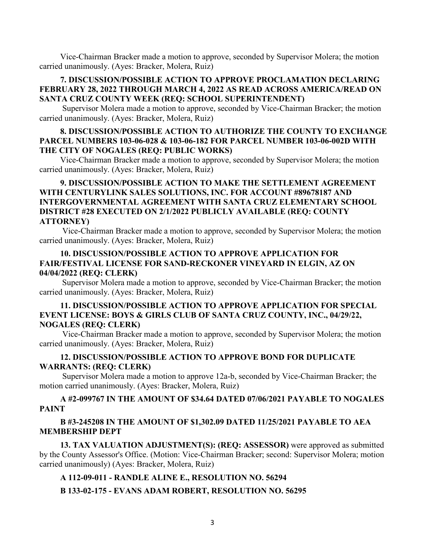Vice-Chairman Bracker made a motion to approve, seconded by Supervisor Molera; the motion carried unanimously. (Ayes: Bracker, Molera, Ruiz)

#### **7. DISCUSSION/POSSIBLE ACTION TO APPROVE PROCLAMATION DECLARING FEBRUARY 28, 2022 THROUGH MARCH 4, 2022 AS READ ACROSS AMERICA/READ ON SANTA CRUZ COUNTY WEEK (REQ: SCHOOL SUPERINTENDENT)**

Supervisor Molera made a motion to approve, seconded by Vice-Chairman Bracker; the motion carried unanimously. (Ayes: Bracker, Molera, Ruiz)

#### **8. DISCUSSION/POSSIBLE ACTION TO AUTHORIZE THE COUNTY TO EXCHANGE PARCEL NUMBERS 103-06-028 & 103-06-182 FOR PARCEL NUMBER 103-06-002D WITH THE CITY OF NOGALES (REQ: PUBLIC WORKS)**

Vice-Chairman Bracker made a motion to approve, seconded by Supervisor Molera; the motion carried unanimously. (Ayes: Bracker, Molera, Ruiz)

## **9. DISCUSSION/POSSIBLE ACTION TO MAKE THE SETTLEMENT AGREEMENT WITH CENTURYLINK SALES SOLUTIONS, INC. FOR ACCOUNT #89678187 AND INTERGOVERNMENTAL AGREEMENT WITH SANTA CRUZ ELEMENTARY SCHOOL DISTRICT #28 EXECUTED ON 2/1/2022 PUBLICLY AVAILABLE (REQ: COUNTY ATTORNEY)**

Vice-Chairman Bracker made a motion to approve, seconded by Supervisor Molera; the motion carried unanimously. (Ayes: Bracker, Molera, Ruiz)

#### **10. DISCUSSION/POSSIBLE ACTION TO APPROVE APPLICATION FOR FAIR/FESTIVAL LICENSE FOR SAND-RECKONER VINEYARD IN ELGIN, AZ ON 04/04/2022 (REQ: CLERK)**

Supervisor Molera made a motion to approve, seconded by Vice-Chairman Bracker; the motion carried unanimously. (Ayes: Bracker, Molera, Ruiz)

#### **11. DISCUSSION/POSSIBLE ACTION TO APPROVE APPLICATION FOR SPECIAL EVENT LICENSE: BOYS & GIRLS CLUB OF SANTA CRUZ COUNTY, INC., 04/29/22, NOGALES (REQ: CLERK)**

Vice-Chairman Bracker made a motion to approve, seconded by Supervisor Molera; the motion carried unanimously. (Ayes: Bracker, Molera, Ruiz)

#### **12. DISCUSSION/POSSIBLE ACTION TO APPROVE BOND FOR DUPLICATE WARRANTS: (REQ: CLERK)**

Supervisor Molera made a motion to approve 12a-b, seconded by Vice-Chairman Bracker; the motion carried unanimously. (Ayes: Bracker, Molera, Ruiz)

#### **A #2-099767 IN THE AMOUNT OF \$34.64 DATED 07/06/2021 PAYABLE TO NOGALES PAINT**

#### **B #3-245208 IN THE AMOUNT OF \$1,302.09 DATED 11/25/2021 PAYABLE TO AEA MEMBERSHIP DEPT**

**13. TAX VALUATION ADJUSTMENT(S): (REQ: ASSESSOR)** were approved as submitted by the County Assessor's Office. (Motion: Vice-Chairman Bracker; second: Supervisor Molera; motion carried unanimously) (Ayes: Bracker, Molera, Ruiz)

## **A 112-09-011 - RANDLE ALINE E., RESOLUTION NO. 56294**

#### **B 133-02-175 - EVANS ADAM ROBERT, RESOLUTION NO. 56295**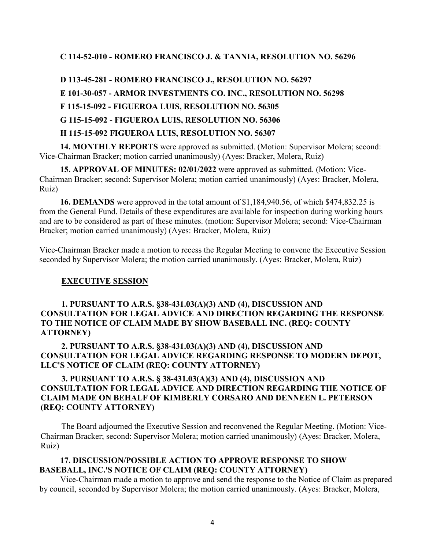#### **C 114-52-010 - ROMERO FRANCISCO J. & TANNIA, RESOLUTION NO. 56296**

**D 113-45-281 - ROMERO FRANCISCO J., RESOLUTION NO. 56297**

**E 101-30-057 - ARMOR INVESTMENTS CO. INC., RESOLUTION NO. 56298**

**F 115-15-092 - FIGUEROA LUIS, RESOLUTION NO. 56305**

**G 115-15-092 - FIGUEROA LUIS, RESOLUTION NO. 56306**

#### **H 115-15-092 FIGUEROA LUIS, RESOLUTION NO. 56307**

**14. MONTHLY REPORTS** were approved as submitted. (Motion: Supervisor Molera; second: Vice-Chairman Bracker; motion carried unanimously) (Ayes: Bracker, Molera, Ruiz)

**15. APPROVAL OF MINUTES: 02/01/2022** were approved as submitted. (Motion: Vice-Chairman Bracker; second: Supervisor Molera; motion carried unanimously) (Ayes: Bracker, Molera, Ruiz)

**16. DEMANDS** were approved in the total amount of \$1,184,940.56, of which \$474,832.25 is from the General Fund. Details of these expenditures are available for inspection during working hours and are to be considered as part of these minutes. (motion: Supervisor Molera; second: Vice-Chairman Bracker; motion carried unanimously) (Ayes: Bracker, Molera, Ruiz)

Vice-Chairman Bracker made a motion to recess the Regular Meeting to convene the Executive Session seconded by Supervisor Molera; the motion carried unanimously. (Ayes: Bracker, Molera, Ruiz)

#### **EXECUTIVE SESSION**

#### **1. PURSUANT TO A.R.S. §38-431.03(A)(3) AND (4), DISCUSSION AND CONSULTATION FOR LEGAL ADVICE AND DIRECTION REGARDING THE RESPONSE TO THE NOTICE OF CLAIM MADE BY SHOW BASEBALL INC. (REQ: COUNTY ATTORNEY)**

**2. PURSUANT TO A.R.S. §38-431.03(A)(3) AND (4), DISCUSSION AND CONSULTATION FOR LEGAL ADVICE REGARDING RESPONSE TO MODERN DEPOT, LLC'S NOTICE OF CLAIM (REQ: COUNTY ATTORNEY)**

## **3. PURSUANT TO A.R.S. § 38-431.03(A)(3) AND (4), DISCUSSION AND CONSULTATION FOR LEGAL ADVICE AND DIRECTION REGARDING THE NOTICE OF CLAIM MADE ON BEHALF OF KIMBERLY CORSARO AND DENNEEN L. PETERSON (REQ: COUNTY ATTORNEY)**

The Board adjourned the Executive Session and reconvened the Regular Meeting. (Motion: Vice-Chairman Bracker; second: Supervisor Molera; motion carried unanimously) (Ayes: Bracker, Molera, Ruiz)

#### **17. DISCUSSION/POSSIBLE ACTION TO APPROVE RESPONSE TO SHOW BASEBALL, INC.'S NOTICE OF CLAIM (REQ: COUNTY ATTORNEY)**

Vice-Chairman made a motion to approve and send the response to the Notice of Claim as prepared by council, seconded by Supervisor Molera; the motion carried unanimously. (Ayes: Bracker, Molera,